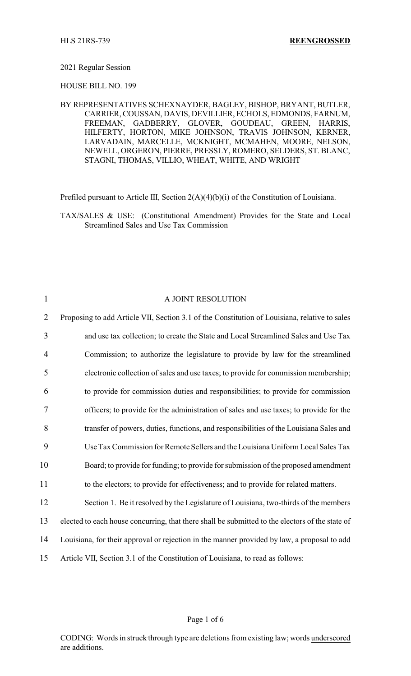## 2021 Regular Session

HOUSE BILL NO. 199

BY REPRESENTATIVES SCHEXNAYDER, BAGLEY, BISHOP, BRYANT, BUTLER, CARRIER, COUSSAN, DAVIS, DEVILLIER, ECHOLS, EDMONDS, FARNUM, FREEMAN, GADBERRY, GLOVER, GOUDEAU, GREEN, HARRIS, HILFERTY, HORTON, MIKE JOHNSON, TRAVIS JOHNSON, KERNER, LARVADAIN, MARCELLE, MCKNIGHT, MCMAHEN, MOORE, NELSON, NEWELL, ORGERON, PIERRE, PRESSLY, ROMERO, SELDERS, ST. BLANC, STAGNI, THOMAS, VILLIO, WHEAT, WHITE, AND WRIGHT

Prefiled pursuant to Article III, Section 2(A)(4)(b)(i) of the Constitution of Louisiana.

TAX/SALES & USE: (Constitutional Amendment) Provides for the State and Local Streamlined Sales and Use Tax Commission

| 1              | A JOINT RESOLUTION                                                                              |
|----------------|-------------------------------------------------------------------------------------------------|
| $\overline{2}$ | Proposing to add Article VII, Section 3.1 of the Constitution of Louisiana, relative to sales   |
| 3              | and use tax collection; to create the State and Local Streamlined Sales and Use Tax             |
| $\overline{4}$ | Commission; to authorize the legislature to provide by law for the streamlined                  |
| 5              | electronic collection of sales and use taxes; to provide for commission membership;             |
| 6              | to provide for commission duties and responsibilities; to provide for commission                |
| $\tau$         | officers; to provide for the administration of sales and use taxes; to provide for the          |
| 8              | transfer of powers, duties, functions, and responsibilities of the Louisiana Sales and          |
| 9              | Use Tax Commission for Remote Sellers and the Louisiana Uniform Local Sales Tax                 |
| 10             | Board; to provide for funding; to provide for submission of the proposed amendment              |
| 11             | to the electors; to provide for effectiveness; and to provide for related matters.              |
| 12             | Section 1. Be it resolved by the Legislature of Louisiana, two-thirds of the members            |
| 13             | elected to each house concurring, that there shall be submitted to the electors of the state of |
| 14             | Louisiana, for their approval or rejection in the manner provided by law, a proposal to add     |
| 15             | Article VII, Section 3.1 of the Constitution of Louisiana, to read as follows:                  |

Page 1 of 6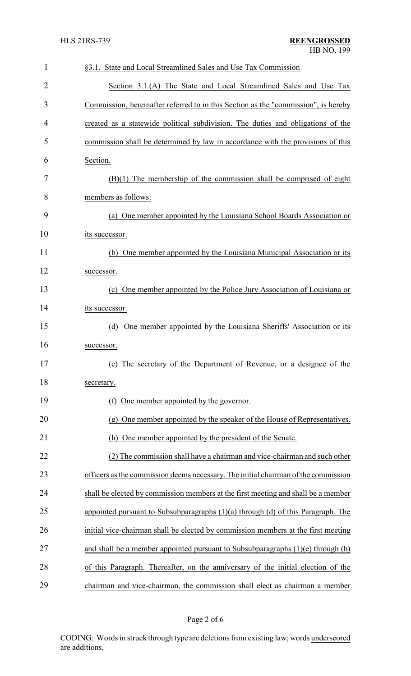| $\mathbf{1}$ | §3.1. State and Local Streamlined Sales and Use Tax Commission                       |
|--------------|--------------------------------------------------------------------------------------|
| 2            | Section 3.1.(A) The State and Local Streamlined Sales and Use Tax                    |
| 3            | Commission, hereinafter referred to in this Section as the "commission", is hereby   |
| 4            | created as a statewide political subdivision. The duties and obligations of the      |
| 5            | commission shall be determined by law in accordance with the provisions of this      |
| 6            | Section.                                                                             |
| 7            | $(B)(1)$ The membership of the commission shall be comprised of eight                |
| 8            | members as follows:                                                                  |
| 9            | (a) One member appointed by the Louisiana School Boards Association or               |
| 10           | its successor.                                                                       |
| 11           | (b) One member appointed by the Louisiana Municipal Association or its               |
| 12           | successor.                                                                           |
| 13           | (c) One member appointed by the Police Jury Association of Louisiana or              |
| 14           | its successor.                                                                       |
| 15           | One member appointed by the Louisiana Sheriffs' Association or its<br>(d)            |
| 16           | successor.                                                                           |
| 17           | (e) The secretary of the Department of Revenue, or a designee of the                 |
| 18           | secretary.                                                                           |
| 19           | (f) One member appointed by the governor.                                            |
| 20           | (g) One member appointed by the speaker of the House of Representatives.             |
| 21           | One member appointed by the president of the Senate.<br>(h)                          |
| 22           | (2) The commission shall have a chairman and vice-chairman and such other            |
| 23           | officers as the commission deems necessary. The initial chairman of the commission   |
| 24           | shall be elected by commission members at the first meeting and shall be a member    |
| 25           | appointed pursuant to Subsubparagraphs $(1)(a)$ through $(d)$ of this Paragraph. The |
| 26           | initial vice-chairman shall be elected by commission members at the first meeting    |
| 27           | and shall be a member appointed pursuant to Subsubparagraphs $(1)(e)$ through $(h)$  |
| 28           | of this Paragraph. Thereafter, on the anniversary of the initial election of the     |
| 29           | chairman and vice-chairman, the commission shall elect as chairman a member          |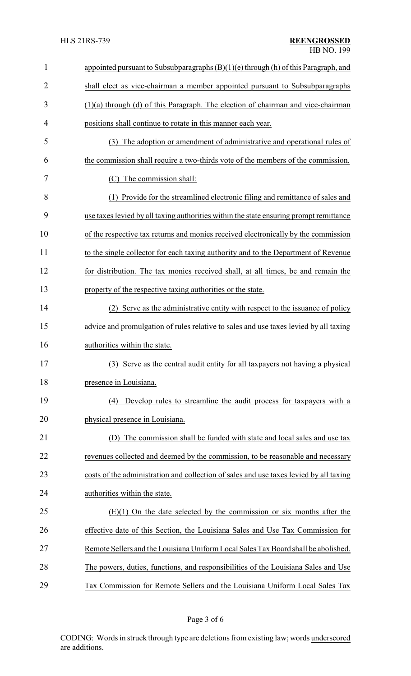| $\mathbf{1}$   | appointed pursuant to Subsubparagraphs $(B)(1)(e)$ through $(h)$ of this Paragraph, and |
|----------------|-----------------------------------------------------------------------------------------|
| $\overline{2}$ | shall elect as vice-chairman a member appointed pursuant to Subsubparagraphs            |
| 3              | $(1)(a)$ through $(d)$ of this Paragraph. The election of chairman and vice-chairman    |
| 4              | positions shall continue to rotate in this manner each year.                            |
| 5              | (3) The adoption or amendment of administrative and operational rules of                |
| 6              | the commission shall require a two-thirds vote of the members of the commission.        |
| 7              | The commission shall:<br>(C)                                                            |
| 8              | Provide for the streamlined electronic filing and remittance of sales and<br>(1)        |
| 9              | use taxes levied by all taxing authorities within the state ensuring prompt remittance  |
| 10             | of the respective tax returns and monies received electronically by the commission      |
| 11             | to the single collector for each taxing authority and to the Department of Revenue      |
| 12             | for distribution. The tax monies received shall, at all times, be and remain the        |
| 13             | property of the respective taxing authorities or the state.                             |
| 14             | (2) Serve as the administrative entity with respect to the issuance of policy           |
| 15             | advice and promulgation of rules relative to sales and use taxes levied by all taxing   |
| 16             | authorities within the state.                                                           |
| 17             | (3) Serve as the central audit entity for all taxpayers not having a physical           |
| 18             | presence in Louisiana.                                                                  |
| 19             | Develop rules to streamline the audit process for taxpayers with a<br>(4)               |
| 20             | physical presence in Louisiana.                                                         |
| 21             | The commission shall be funded with state and local sales and use tax<br>(D)            |
| 22             | revenues collected and deemed by the commission, to be reasonable and necessary         |
| 23             | costs of the administration and collection of sales and use taxes levied by all taxing  |
| 24             | authorities within the state.                                                           |
| 25             | $(E)(1)$ On the date selected by the commission or six months after the                 |
| 26             | effective date of this Section, the Louisiana Sales and Use Tax Commission for          |
| 27             | Remote Sellers and the Louisiana Uniform Local Sales Tax Board shall be abolished.      |
| 28             | The powers, duties, functions, and responsibilities of the Louisiana Sales and Use      |
| 29             | Tax Commission for Remote Sellers and the Louisiana Uniform Local Sales Tax             |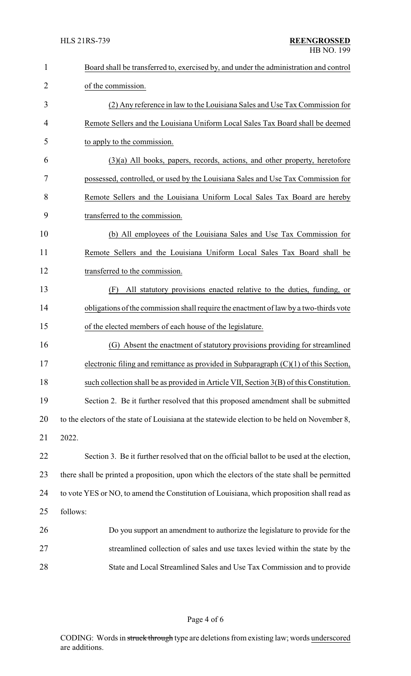| $\mathbf{1}$   | Board shall be transferred to, exercised by, and under the administration and control         |
|----------------|-----------------------------------------------------------------------------------------------|
| $\overline{2}$ | of the commission.                                                                            |
| 3              | (2) Any reference in law to the Louisiana Sales and Use Tax Commission for                    |
| $\overline{4}$ | Remote Sellers and the Louisiana Uniform Local Sales Tax Board shall be deemed                |
| 5              | to apply to the commission.                                                                   |
| 6              | $(3)(a)$ All books, papers, records, actions, and other property, heretofore                  |
| 7              | possessed, controlled, or used by the Louisiana Sales and Use Tax Commission for              |
| 8              | Remote Sellers and the Louisiana Uniform Local Sales Tax Board are hereby                     |
| 9              | transferred to the commission.                                                                |
| 10             | (b) All employees of the Louisiana Sales and Use Tax Commission for                           |
| 11             | Remote Sellers and the Louisiana Uniform Local Sales Tax Board shall be                       |
| 12             | transferred to the commission.                                                                |
| 13             | All statutory provisions enacted relative to the duties, funding, or<br>(F)                   |
| 14             | obligations of the commission shall require the enactment of law by a two-thirds vote         |
| 15             | of the elected members of each house of the legislature.                                      |
| 16             | (G) Absent the enactment of statutory provisions providing for streamlined                    |
| 17             | electronic filing and remittance as provided in Subparagraph $(C)(1)$ of this Section,        |
| 18             | such collection shall be as provided in Article VII, Section 3(B) of this Constitution.       |
| 19             | Section 2. Be it further resolved that this proposed amendment shall be submitted             |
| 20             | to the electors of the state of Louisiana at the statewide election to be held on November 8, |
| 21             | 2022.                                                                                         |
| 22             | Section 3. Be it further resolved that on the official ballot to be used at the election,     |
| 23             | there shall be printed a proposition, upon which the electors of the state shall be permitted |
| 24             | to vote YES or NO, to amend the Constitution of Louisiana, which proposition shall read as    |
| 25             | follows:                                                                                      |
| 26             | Do you support an amendment to authorize the legislature to provide for the                   |
| 27             | streamlined collection of sales and use taxes levied within the state by the                  |
| 28             | State and Local Streamlined Sales and Use Tax Commission and to provide                       |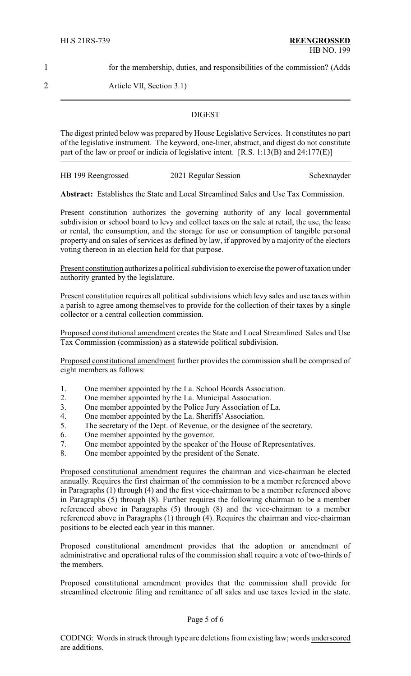1 for the membership, duties, and responsibilities of the commission? (Adds

2 Article VII, Section 3.1)

## **DIGEST**

The digest printed below was prepared by House Legislative Services. It constitutes no part of the legislative instrument. The keyword, one-liner, abstract, and digest do not constitute part of the law or proof or indicia of legislative intent. [R.S. 1:13(B) and 24:177(E)]

HB 199 Reengrossed 2021 Regular Session Schexnayder

**Abstract:** Establishes the State and Local Streamlined Sales and Use Tax Commission.

Present constitution authorizes the governing authority of any local governmental subdivision or school board to levy and collect taxes on the sale at retail, the use, the lease or rental, the consumption, and the storage for use or consumption of tangible personal property and on sales of services as defined by law, if approved by a majority of the electors voting thereon in an election held for that purpose.

Present constitution authorizes a political subdivision to exercise the power of taxation under authority granted by the legislature.

Present constitution requires all political subdivisions which levy sales and use taxes within a parish to agree among themselves to provide for the collection of their taxes by a single collector or a central collection commission.

Proposed constitutional amendment creates the State and Local Streamlined Sales and Use Tax Commission (commission) as a statewide political subdivision.

Proposed constitutional amendment further provides the commission shall be comprised of eight members as follows:

- 1. One member appointed by the La. School Boards Association.
- 2. One member appointed by the La. Municipal Association.
- 3. One member appointed by the Police Jury Association of La.
- 4. One member appointed by the La. Sheriffs' Association.
- 5. The secretary of the Dept. of Revenue, or the designee of the secretary.
- 6. One member appointed by the governor.
- 7. One member appointed by the speaker of the House of Representatives.
- 8. One member appointed by the president of the Senate.

Proposed constitutional amendment requires the chairman and vice-chairman be elected annually. Requires the first chairman of the commission to be a member referenced above in Paragraphs (1) through (4) and the first vice-chairman to be a member referenced above in Paragraphs (5) through (8). Further requires the following chairman to be a member referenced above in Paragraphs (5) through (8) and the vice-chairman to a member referenced above in Paragraphs (1) through (4). Requires the chairman and vice-chairman positions to be elected each year in this manner.

Proposed constitutional amendment provides that the adoption or amendment of administrative and operational rules of the commission shall require a vote of two-thirds of the members.

Proposed constitutional amendment provides that the commission shall provide for streamlined electronic filing and remittance of all sales and use taxes levied in the state.

## Page 5 of 6